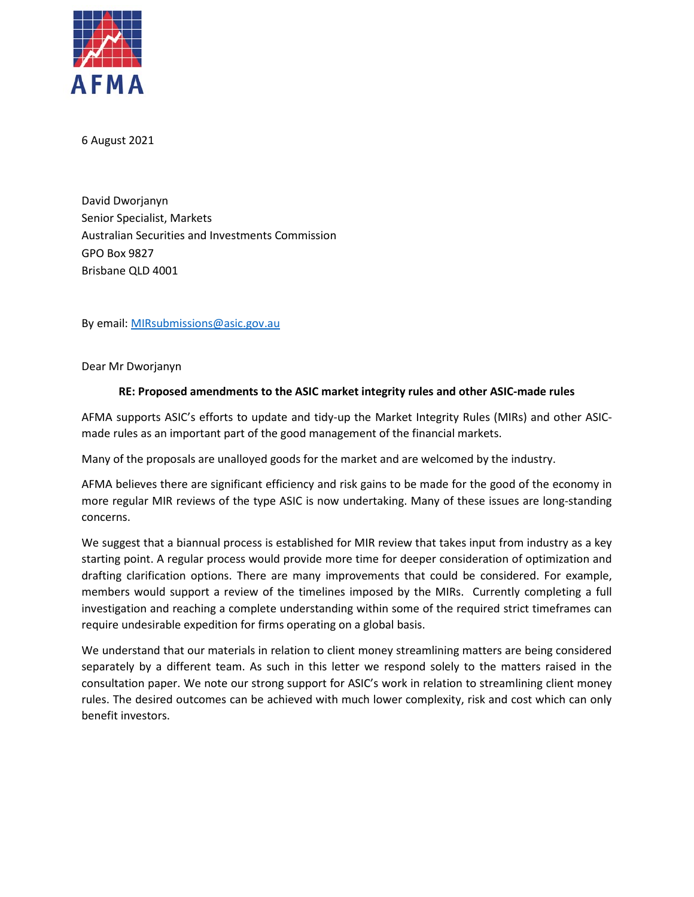

6 August 2021

David Dworjanyn Senior Specialist, Markets Australian Securities and Investments Commission GPO Box 9827 Brisbane QLD 4001

By email: [MIRsubmissions@asic.gov.au](mailto:MIRsubmissions@asic.gov.au)

Dear Mr Dworjanyn

## **RE: Proposed amendments to the ASIC market integrity rules and other ASIC-made rules**

AFMA supports ASIC's efforts to update and tidy-up the Market Integrity Rules (MIRs) and other ASICmade rules as an important part of the good management of the financial markets.

Many of the proposals are unalloyed goods for the market and are welcomed by the industry.

AFMA believes there are significant efficiency and risk gains to be made for the good of the economy in more regular MIR reviews of the type ASIC is now undertaking. Many of these issues are long-standing concerns.

We suggest that a biannual process is established for MIR review that takes input from industry as a key starting point. A regular process would provide more time for deeper consideration of optimization and drafting clarification options. There are many improvements that could be considered. For example, members would support a review of the timelines imposed by the MIRs. Currently completing a full investigation and reaching a complete understanding within some of the required strict timeframes can require undesirable expedition for firms operating on a global basis.

We understand that our materials in relation to client money streamlining matters are being considered separately by a different team. As such in this letter we respond solely to the matters raised in the consultation paper. We note our strong support for ASIC's work in relation to streamlining client money rules. The desired outcomes can be achieved with much lower complexity, risk and cost which can only benefit investors.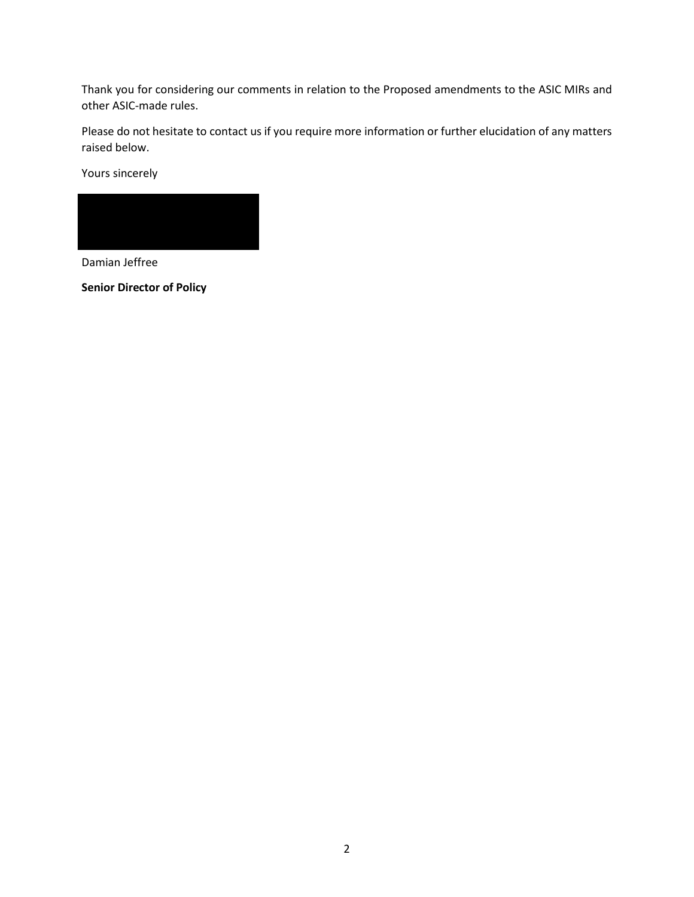Thank you for considering our comments in relation to the Proposed amendments to the ASIC MIRs and other ASIC-made rules.

Please do not hesitate to contact us if you require more information or further elucidation of any matters raised below.

Yours sincerely



Damian Jeffree

**Senior Director of Policy**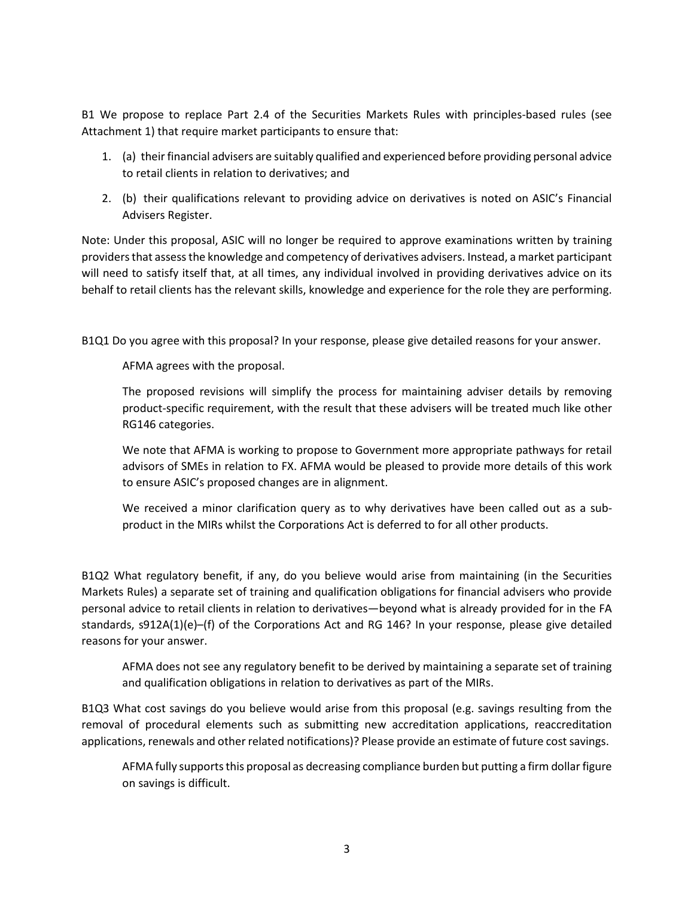B1 We propose to replace Part 2.4 of the Securities Markets Rules with principles-based rules (see Attachment 1) that require market participants to ensure that:

- 1. (a) their financial advisers are suitably qualified and experienced before providing personal advice to retail clients in relation to derivatives; and
- 2. (b) their qualifications relevant to providing advice on derivatives is noted on ASIC's Financial Advisers Register.

Note: Under this proposal, ASIC will no longer be required to approve examinations written by training providers that assess the knowledge and competency of derivatives advisers. Instead, a market participant will need to satisfy itself that, at all times, any individual involved in providing derivatives advice on its behalf to retail clients has the relevant skills, knowledge and experience for the role they are performing.

B1Q1 Do you agree with this proposal? In your response, please give detailed reasons for your answer.

AFMA agrees with the proposal.

The proposed revisions will simplify the process for maintaining adviser details by removing product-specific requirement, with the result that these advisers will be treated much like other RG146 categories.

We note that AFMA is working to propose to Government more appropriate pathways for retail advisors of SMEs in relation to FX. AFMA would be pleased to provide more details of this work to ensure ASIC's proposed changes are in alignment.

We received a minor clarification query as to why derivatives have been called out as a subproduct in the MIRs whilst the Corporations Act is deferred to for all other products.

B1Q2 What regulatory benefit, if any, do you believe would arise from maintaining (in the Securities Markets Rules) a separate set of training and qualification obligations for financial advisers who provide personal advice to retail clients in relation to derivatives—beyond what is already provided for in the FA standards, s912A(1)(e)–(f) of the Corporations Act and RG 146? In your response, please give detailed reasons for your answer.

AFMA does not see any regulatory benefit to be derived by maintaining a separate set of training and qualification obligations in relation to derivatives as part of the MIRs.

B1Q3 What cost savings do you believe would arise from this proposal (e.g. savings resulting from the removal of procedural elements such as submitting new accreditation applications, reaccreditation applications, renewals and other related notifications)? Please provide an estimate of future cost savings.

AFMA fully supports this proposal as decreasing compliance burden but putting a firm dollar figure on savings is difficult.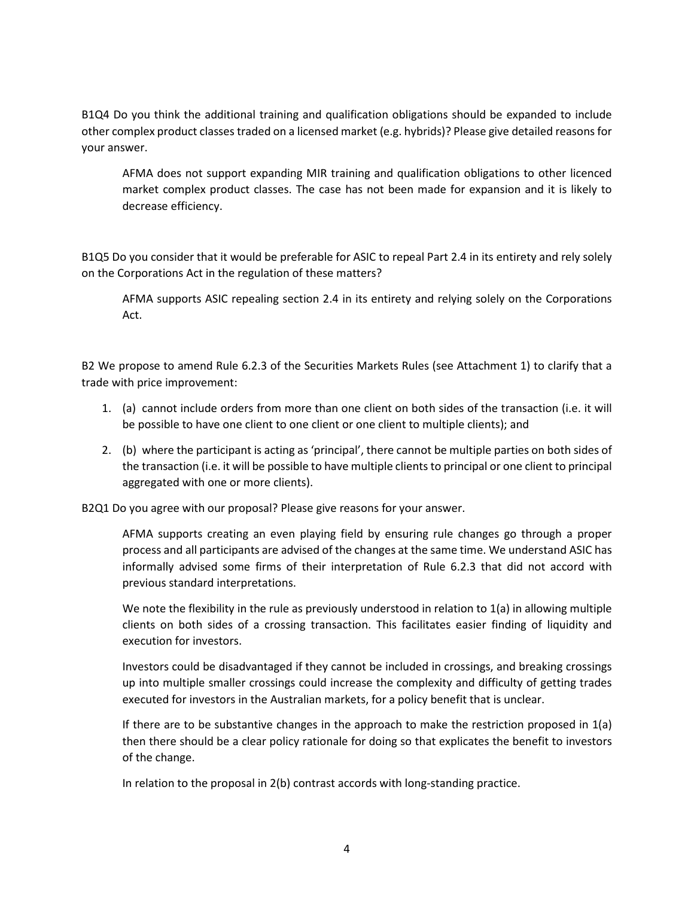B1Q4 Do you think the additional training and qualification obligations should be expanded to include other complex product classes traded on a licensed market (e.g. hybrids)? Please give detailed reasons for your answer.

AFMA does not support expanding MIR training and qualification obligations to other licenced market complex product classes. The case has not been made for expansion and it is likely to decrease efficiency.

B1Q5 Do you consider that it would be preferable for ASIC to repeal Part 2.4 in its entirety and rely solely on the Corporations Act in the regulation of these matters?

AFMA supports ASIC repealing section 2.4 in its entirety and relying solely on the Corporations Act.

B2 We propose to amend Rule 6.2.3 of the Securities Markets Rules (see Attachment 1) to clarify that a trade with price improvement:

- 1. (a) cannot include orders from more than one client on both sides of the transaction (i.e. it will be possible to have one client to one client or one client to multiple clients); and
- 2. (b) where the participant is acting as 'principal', there cannot be multiple parties on both sides of the transaction (i.e. it will be possible to have multiple clients to principal or one client to principal aggregated with one or more clients).

B2Q1 Do you agree with our proposal? Please give reasons for your answer.

AFMA supports creating an even playing field by ensuring rule changes go through a proper process and all participants are advised of the changes at the same time. We understand ASIC has informally advised some firms of their interpretation of Rule 6.2.3 that did not accord with previous standard interpretations.

We note the flexibility in the rule as previously understood in relation to 1(a) in allowing multiple clients on both sides of a crossing transaction. This facilitates easier finding of liquidity and execution for investors.

Investors could be disadvantaged if they cannot be included in crossings, and breaking crossings up into multiple smaller crossings could increase the complexity and difficulty of getting trades executed for investors in the Australian markets, for a policy benefit that is unclear.

If there are to be substantive changes in the approach to make the restriction proposed in 1(a) then there should be a clear policy rationale for doing so that explicates the benefit to investors of the change.

In relation to the proposal in 2(b) contrast accords with long-standing practice.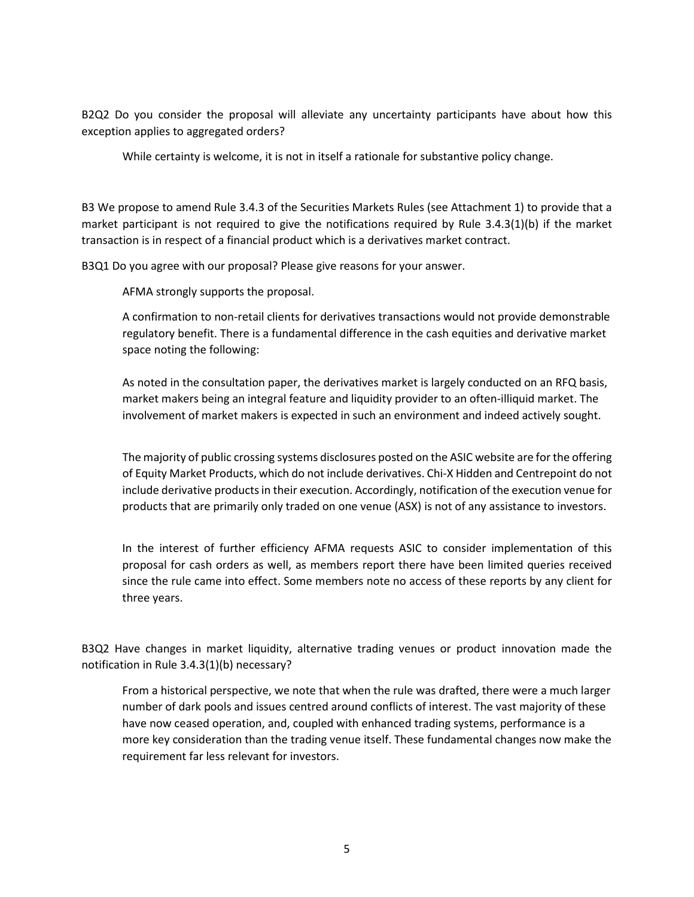B2Q2 Do you consider the proposal will alleviate any uncertainty participants have about how this exception applies to aggregated orders?

While certainty is welcome, it is not in itself a rationale for substantive policy change.

B3 We propose to amend Rule 3.4.3 of the Securities Markets Rules (see Attachment 1) to provide that a market participant is not required to give the notifications required by Rule 3.4.3(1)(b) if the market transaction is in respect of a financial product which is a derivatives market contract.

B3Q1 Do you agree with our proposal? Please give reasons for your answer.

AFMA strongly supports the proposal.

A confirmation to non-retail clients for derivatives transactions would not provide demonstrable regulatory benefit. There is a fundamental difference in the cash equities and derivative market space noting the following:

As noted in the consultation paper, the derivatives market is largely conducted on an RFQ basis, market makers being an integral feature and liquidity provider to an often-illiquid market. The involvement of market makers is expected in such an environment and indeed actively sought.

The majority of public crossing systems disclosures posted on the ASIC website are for the offering of Equity Market Products, which do not include derivatives. Chi-X Hidden and Centrepoint do not include derivative products in their execution. Accordingly, notification of the execution venue for products that are primarily only traded on one venue (ASX) is not of any assistance to investors.

In the interest of further efficiency AFMA requests ASIC to consider implementation of this proposal for cash orders as well, as members report there have been limited queries received since the rule came into effect. Some members note no access of these reports by any client for three years.

B3Q2 Have changes in market liquidity, alternative trading venues or product innovation made the notification in Rule 3.4.3(1)(b) necessary?

From a historical perspective, we note that when the rule was drafted, there were a much larger number of dark pools and issues centred around conflicts of interest. The vast majority of these have now ceased operation, and, coupled with enhanced trading systems, performance is a more key consideration than the trading venue itself. These fundamental changes now make the requirement far less relevant for investors.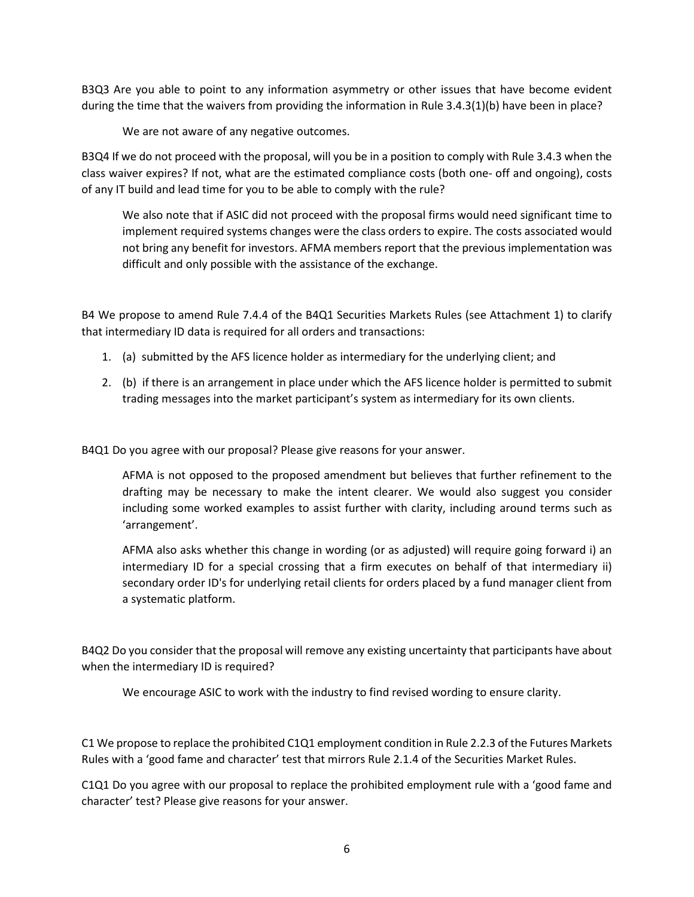B3Q3 Are you able to point to any information asymmetry or other issues that have become evident during the time that the waivers from providing the information in Rule 3.4.3(1)(b) have been in place?

We are not aware of any negative outcomes.

B3Q4 If we do not proceed with the proposal, will you be in a position to comply with Rule 3.4.3 when the class waiver expires? If not, what are the estimated compliance costs (both one- off and ongoing), costs of any IT build and lead time for you to be able to comply with the rule?

We also note that if ASIC did not proceed with the proposal firms would need significant time to implement required systems changes were the class orders to expire. The costs associated would not bring any benefit for investors. AFMA members report that the previous implementation was difficult and only possible with the assistance of the exchange.

B4 We propose to amend Rule 7.4.4 of the B4Q1 Securities Markets Rules (see Attachment 1) to clarify that intermediary ID data is required for all orders and transactions:

- 1. (a) submitted by the AFS licence holder as intermediary for the underlying client; and
- 2. (b) if there is an arrangement in place under which the AFS licence holder is permitted to submit trading messages into the market participant's system as intermediary for its own clients.

B4Q1 Do you agree with our proposal? Please give reasons for your answer.

AFMA is not opposed to the proposed amendment but believes that further refinement to the drafting may be necessary to make the intent clearer. We would also suggest you consider including some worked examples to assist further with clarity, including around terms such as 'arrangement'.

AFMA also asks whether this change in wording (or as adjusted) will require going forward i) an intermediary ID for a special crossing that a firm executes on behalf of that intermediary ii) secondary order ID's for underlying retail clients for orders placed by a fund manager client from a systematic platform.

B4Q2 Do you consider that the proposal will remove any existing uncertainty that participants have about when the intermediary ID is required?

We encourage ASIC to work with the industry to find revised wording to ensure clarity.

C1 We propose to replace the prohibited C1Q1 employment condition in Rule 2.2.3 of the Futures Markets Rules with a 'good fame and character' test that mirrors Rule 2.1.4 of the Securities Market Rules.

C1Q1 Do you agree with our proposal to replace the prohibited employment rule with a 'good fame and character' test? Please give reasons for your answer.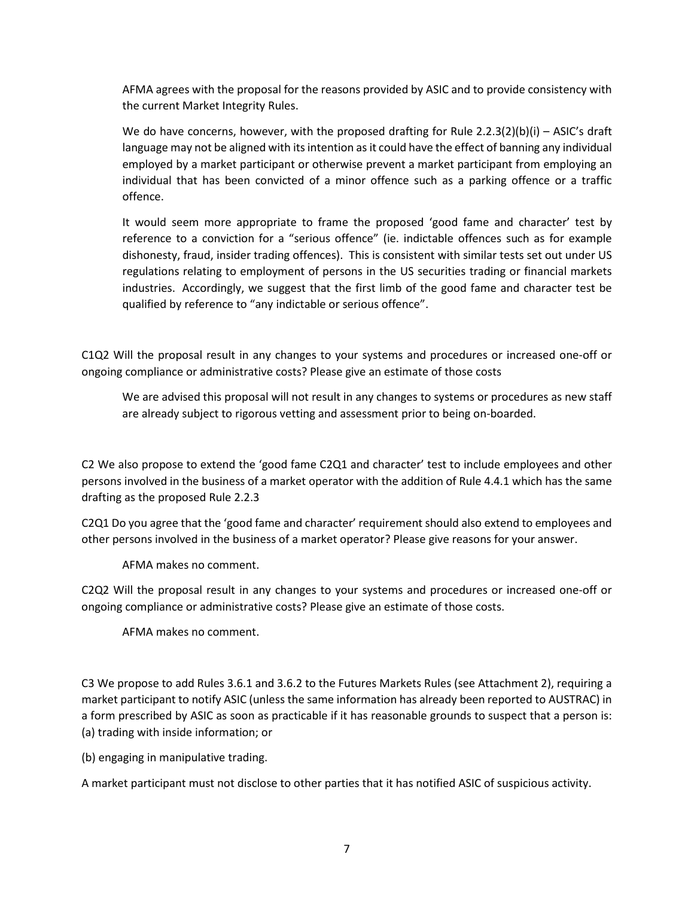AFMA agrees with the proposal for the reasons provided by ASIC and to provide consistency with the current Market Integrity Rules.

We do have concerns, however, with the proposed drafting for Rule  $2.2.3(2)(b)(i) - ASIC's$  draft language may not be aligned with its intention as it could have the effect of banning any individual employed by a market participant or otherwise prevent a market participant from employing an individual that has been convicted of a minor offence such as a parking offence or a traffic offence.

It would seem more appropriate to frame the proposed 'good fame and character' test by reference to a conviction for a "serious offence" (ie. indictable offences such as for example dishonesty, fraud, insider trading offences). This is consistent with similar tests set out under US regulations relating to employment of persons in the US securities trading or financial markets industries. Accordingly, we suggest that the first limb of the good fame and character test be qualified by reference to "any indictable or serious offence".

C1Q2 Will the proposal result in any changes to your systems and procedures or increased one-off or ongoing compliance or administrative costs? Please give an estimate of those costs

We are advised this proposal will not result in any changes to systems or procedures as new staff are already subject to rigorous vetting and assessment prior to being on-boarded.

C2 We also propose to extend the 'good fame C2Q1 and character' test to include employees and other persons involved in the business of a market operator with the addition of Rule 4.4.1 which has the same drafting as the proposed Rule 2.2.3

C2Q1 Do you agree that the 'good fame and character' requirement should also extend to employees and other persons involved in the business of a market operator? Please give reasons for your answer.

AFMA makes no comment.

C2Q2 Will the proposal result in any changes to your systems and procedures or increased one-off or ongoing compliance or administrative costs? Please give an estimate of those costs.

AFMA makes no comment.

C3 We propose to add Rules 3.6.1 and 3.6.2 to the Futures Markets Rules (see Attachment 2), requiring a market participant to notify ASIC (unless the same information has already been reported to AUSTRAC) in a form prescribed by ASIC as soon as practicable if it has reasonable grounds to suspect that a person is: (a) trading with inside information; or

(b) engaging in manipulative trading.

A market participant must not disclose to other parties that it has notified ASIC of suspicious activity.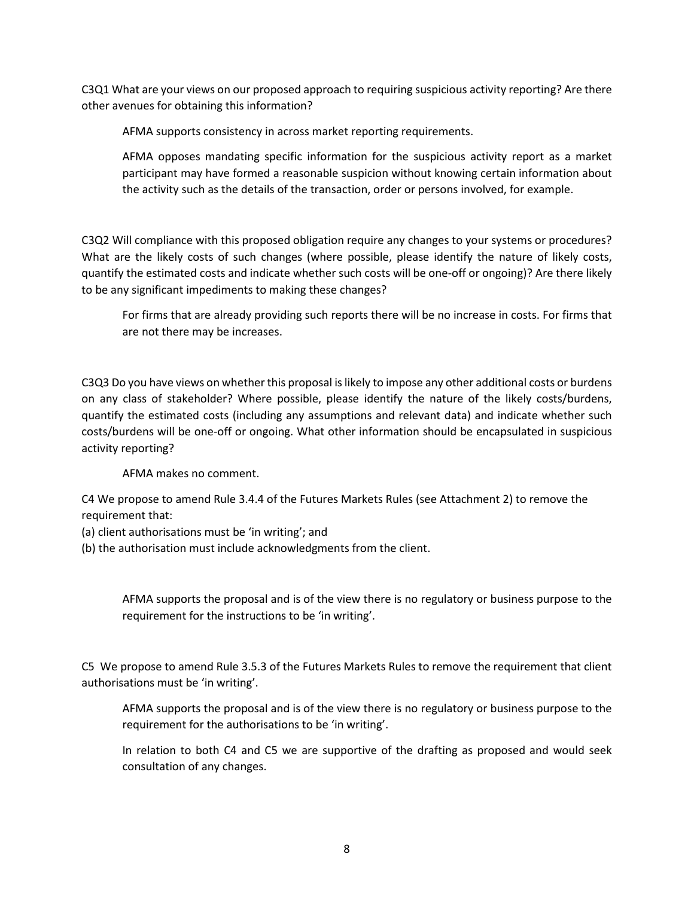C3Q1 What are your views on our proposed approach to requiring suspicious activity reporting? Are there other avenues for obtaining this information?

AFMA supports consistency in across market reporting requirements.

AFMA opposes mandating specific information for the suspicious activity report as a market participant may have formed a reasonable suspicion without knowing certain information about the activity such as the details of the transaction, order or persons involved, for example.

C3Q2 Will compliance with this proposed obligation require any changes to your systems or procedures? What are the likely costs of such changes (where possible, please identify the nature of likely costs, quantify the estimated costs and indicate whether such costs will be one-off or ongoing)? Are there likely to be any significant impediments to making these changes?

For firms that are already providing such reports there will be no increase in costs. For firms that are not there may be increases.

C3Q3 Do you have views on whether this proposal is likely to impose any other additional costs or burdens on any class of stakeholder? Where possible, please identify the nature of the likely costs/burdens, quantify the estimated costs (including any assumptions and relevant data) and indicate whether such costs/burdens will be one-off or ongoing. What other information should be encapsulated in suspicious activity reporting?

AFMA makes no comment.

C4 We propose to amend Rule 3.4.4 of the Futures Markets Rules (see Attachment 2) to remove the requirement that:

- (a) client authorisations must be 'in writing'; and
- (b) the authorisation must include acknowledgments from the client.

AFMA supports the proposal and is of the view there is no regulatory or business purpose to the requirement for the instructions to be 'in writing'.

C5 We propose to amend Rule 3.5.3 of the Futures Markets Rules to remove the requirement that client authorisations must be 'in writing'.

AFMA supports the proposal and is of the view there is no regulatory or business purpose to the requirement for the authorisations to be 'in writing'.

In relation to both C4 and C5 we are supportive of the drafting as proposed and would seek consultation of any changes.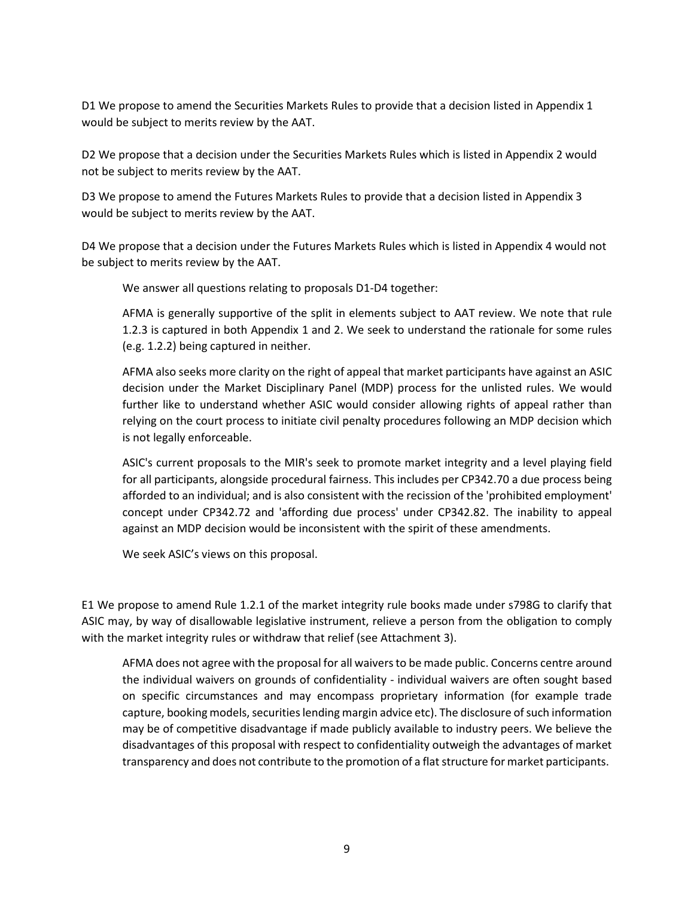D1 We propose to amend the Securities Markets Rules to provide that a decision listed in Appendix 1 would be subject to merits review by the AAT.

D2 We propose that a decision under the Securities Markets Rules which is listed in Appendix 2 would not be subject to merits review by the AAT.

D3 We propose to amend the Futures Markets Rules to provide that a decision listed in Appendix 3 would be subject to merits review by the AAT.

D4 We propose that a decision under the Futures Markets Rules which is listed in Appendix 4 would not be subject to merits review by the AAT.

We answer all questions relating to proposals D1-D4 together:

AFMA is generally supportive of the split in elements subject to AAT review. We note that rule 1.2.3 is captured in both Appendix 1 and 2. We seek to understand the rationale for some rules (e.g. 1.2.2) being captured in neither.

AFMA also seeks more clarity on the right of appeal that market participants have against an ASIC decision under the Market Disciplinary Panel (MDP) process for the unlisted rules. We would further like to understand whether ASIC would consider allowing rights of appeal rather than relying on the court process to initiate civil penalty procedures following an MDP decision which is not legally enforceable.

ASIC's current proposals to the MIR's seek to promote market integrity and a level playing field for all participants, alongside procedural fairness. This includes per CP342.70 a due process being afforded to an individual; and is also consistent with the recission of the 'prohibited employment' concept under CP342.72 and 'affording due process' under CP342.82. The inability to appeal against an MDP decision would be inconsistent with the spirit of these amendments.

We seek ASIC's views on this proposal.

E1 We propose to amend Rule 1.2.1 of the market integrity rule books made under s798G to clarify that ASIC may, by way of disallowable legislative instrument, relieve a person from the obligation to comply with the market integrity rules or withdraw that relief (see Attachment 3).

AFMA does not agree with the proposal for all waivers to be made public. Concerns centre around the individual waivers on grounds of confidentiality - individual waivers are often sought based on specific circumstances and may encompass proprietary information (for example trade capture, booking models, securities lending margin advice etc). The disclosure of such information may be of competitive disadvantage if made publicly available to industry peers. We believe the disadvantages of this proposal with respect to confidentiality outweigh the advantages of market transparency and does not contribute to the promotion of a flat structure for market participants.